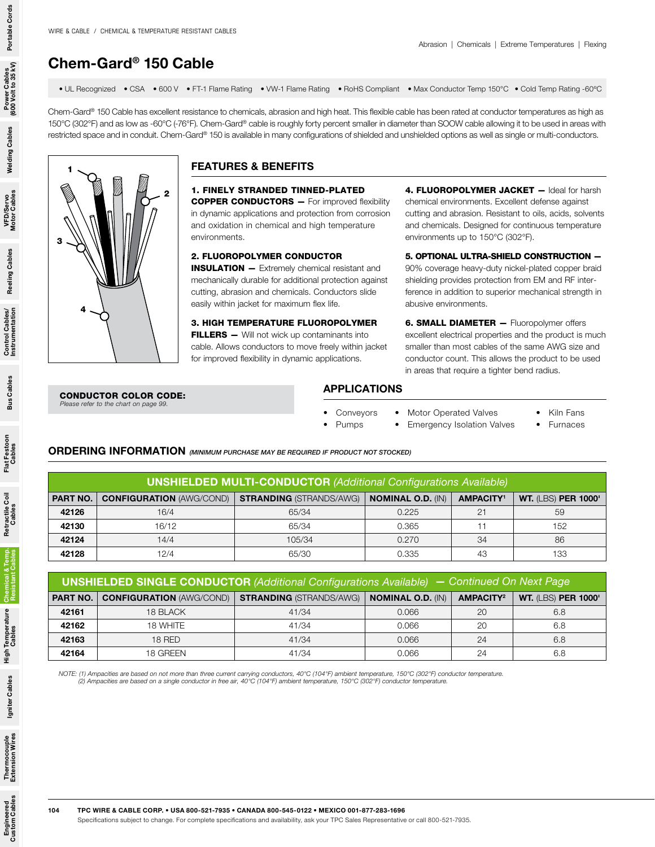# Chem-Gard® 150 Cable

• UL Recognized • CSA • 600 V • FT-1 Flame Rating • VW-1 Flame Rating • RoHS Compliant • Max Conductor Temp 150°C • Cold Temp Rating -60ºC

Chem-Gard® 150 Cable has excellent resistance to chemicals, abrasion and high heat. This flexible cable has been rated at conductor temperatures as high as 150°C (302°F) and as low as -60°C (-76°F). Chem-Gard® cable is roughly forty percent smaller in diameter than SOOW cable allowing it to be used in areas with restricted space and in conduit. Chem-Gard® 150 is available in many configurations of shielded and unshielded options as well as single or multi-conductors.



### FEATURES & BENEFITS

1. FINELY STRANDED TINNED-PLATED COPPER CONDUCTORS — For improved flexibility in dynamic applications and protection from corrosion and oxidation in chemical and high temperature environments.

#### 2. FLUOROPOLYMER CONDUCTOR

ORDERING INFORMATION *(MINIMUM PURCHASE MAY BE REQUIRED IF PRODUCT NOT STOCKED)*

UNSHIELDED SINGLE CONDUCTOR *(Additional Configurations Available)*

INSULATION — Extremely chemical resistant and mechanically durable for additional protection against cutting, abrasion and chemicals. Conductors slide easily within jacket for maximum flex life.

3. HIGH TEMPERATURE FLUOROPOLYMER FILLERS - Will not wick up contaminants into cable. Allows conductors to move freely within jacket for improved flexibility in dynamic applications.

4. FLUOROPOLYMER JACKET - Ideal for harsh chemical environments. Excellent defense against cutting and abrasion. Resistant to oils, acids, solvents and chemicals. Designed for continuous temperature environments up to 150°C (302°F).

5. OPTIONAL ULTRA-SHIELD CONSTRUCTION — 90% coverage heavy-duty nickel-plated copper braid shielding provides protection from EM and RF interference in addition to superior mechanical strength in abusive environments.

**6. SMALL DIAMETER - Fluoropolymer offers** excellent electrical properties and the product is much smaller than most cables of the same AWG size and conductor count. This allows the product to be used in areas that require a tighter bend radius.

#### CONDUCTOR COLOR CODE: *Please refer to the chart on page 99.*

## APPLICATIONS

UNSHIELDED MULTI-CONDUCTOR *(Additional Configurations Available)* PART NO. CONFIGURATION (AWG/COND) STRANDING (STRANDS/AWG) NOMINAL O.D. (IN) AMPACITY' WT. (LBS) PER 1000' 16/4 16/4 65/34 0.225 21 59 | 16/12 | 65/34 | 0.365 | 11 | 152 | 14/4 | 105/34 | 0.270 | 34 | 86 | 12/4 | 65/30 | 0.335 | 43 | 133

PART NO. CONFIGURATION (AWG/COND) STRANDING (STRANDS/AWG) NOMINAL O.D. (IN) AMPACITY<sup>2</sup> WT. (LBS) PER 1000' | 18 BLACK | 41/34 | 0.066 | 20 | 6.8 | 18 WHITE | 41/34 | 0.066 | 20 | 6.8 | 18 RED | 41/34 | 0.066 | 24 | 6.8 | 18 GREEN | 41/34 | 0.066 | 24 | 6.8

- **Conveyors** Motor Operated Valves
- Pumps • Emergency Isolation Valves
- Kiln Fans
- **Furnaces**

— *Continued On Next Page*

Portable Cords

Power Cables<br>(600 Volt to 35 kV)

**Welding Cables** 

VFD/Servo<br>Motor Cables

**Reeling Cables** 

Control Cables/<br>Instrumentation

**Bus Cables** 

Igniter Cables

Engineered<br>Custom Cables

NOTE: (1) Ampacities are based on not more than three current carrying conductors, 40°C (104°F) ambient temperature, 150°C (302°F) conductor temperature.<br>(2) Ampacities are based on a single conductor in free air, 40°C (10